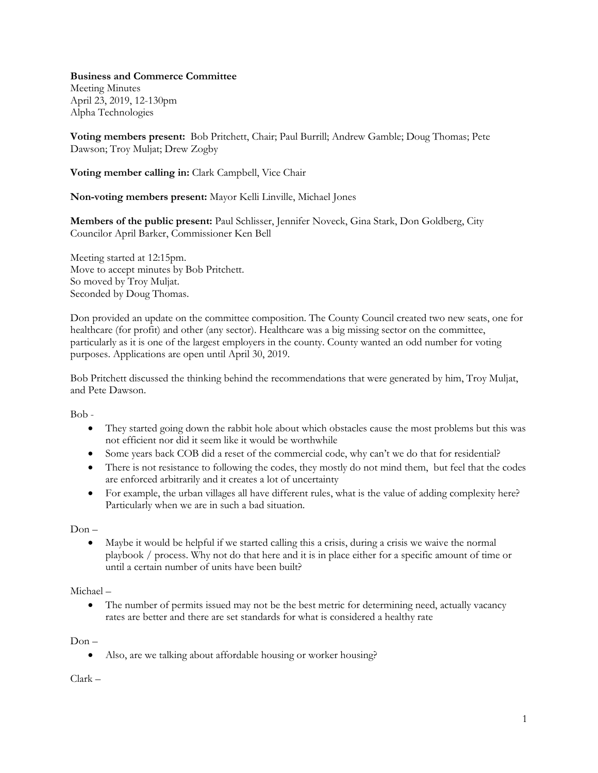**Business and Commerce Committee**

Meeting Minutes April 23, 2019, 12-130pm Alpha Technologies

**Voting members present:** Bob Pritchett, Chair; Paul Burrill; Andrew Gamble; Doug Thomas; Pete Dawson; Troy Muljat; Drew Zogby

**Voting member calling in:** Clark Campbell, Vice Chair

**Non-voting members present:** Mayor Kelli Linville, Michael Jones

**Members of the public present:** Paul Schlisser, Jennifer Noveck, Gina Stark, Don Goldberg, City Councilor April Barker, Commissioner Ken Bell

Meeting started at 12:15pm. Move to accept minutes by Bob Pritchett. So moved by Troy Muljat. Seconded by Doug Thomas.

Don provided an update on the committee composition. The County Council created two new seats, one for healthcare (for profit) and other (any sector). Healthcare was a big missing sector on the committee, particularly as it is one of the largest employers in the county. County wanted an odd number for voting purposes. Applications are open until April 30, 2019.

Bob Pritchett discussed the thinking behind the recommendations that were generated by him, Troy Muljat, and Pete Dawson.

Bob -

- They started going down the rabbit hole about which obstacles cause the most problems but this was not efficient nor did it seem like it would be worthwhile
- Some years back COB did a reset of the commercial code, why can't we do that for residential?
- There is not resistance to following the codes, they mostly do not mind them, but feel that the codes are enforced arbitrarily and it creates a lot of uncertainty
- For example, the urban villages all have different rules, what is the value of adding complexity here? Particularly when we are in such a bad situation.

 $Don -$ 

 Maybe it would be helpful if we started calling this a crisis, during a crisis we waive the normal playbook / process. Why not do that here and it is in place either for a specific amount of time or until a certain number of units have been built?

Michael –

• The number of permits issued may not be the best metric for determining need, actually vacancy rates are better and there are set standards for what is considered a healthy rate

 $Don -$ 

Also, are we talking about affordable housing or worker housing?

Clark –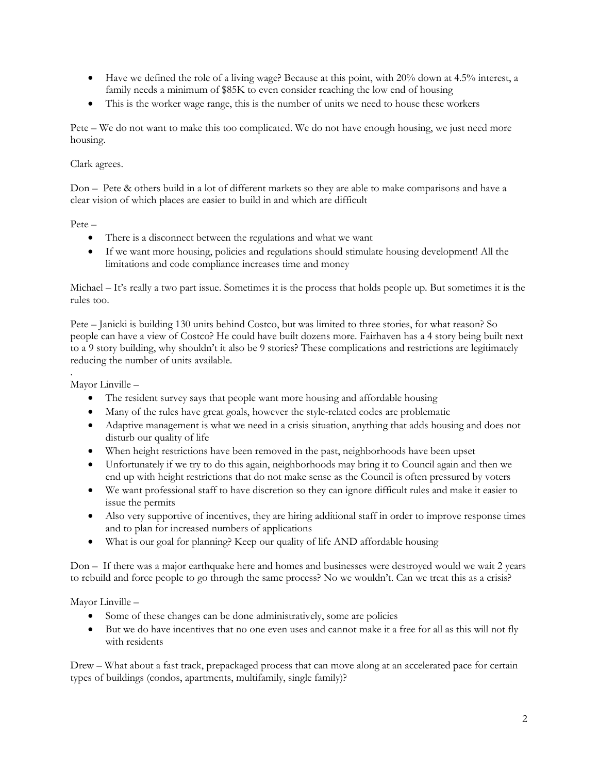- Have we defined the role of a living wage? Because at this point, with 20% down at 4.5% interest, a family needs a minimum of \$85K to even consider reaching the low end of housing
- This is the worker wage range, this is the number of units we need to house these workers

Pete – We do not want to make this too complicated. We do not have enough housing, we just need more housing.

## Clark agrees.

Don – Pete & others build in a lot of different markets so they are able to make comparisons and have a clear vision of which places are easier to build in and which are difficult

Pete –

- There is a disconnect between the regulations and what we want
- If we want more housing, policies and regulations should stimulate housing development! All the limitations and code compliance increases time and money

Michael – It's really a two part issue. Sometimes it is the process that holds people up. But sometimes it is the rules too.

Pete – Janicki is building 130 units behind Costco, but was limited to three stories, for what reason? So people can have a view of Costco? He could have built dozens more. Fairhaven has a 4 story being built next to a 9 story building, why shouldn't it also be 9 stories? These complications and restrictions are legitimately reducing the number of units available.

. Mayor Linville –

- The resident survey says that people want more housing and affordable housing
- Many of the rules have great goals, however the style-related codes are problematic
- Adaptive management is what we need in a crisis situation, anything that adds housing and does not disturb our quality of life
- When height restrictions have been removed in the past, neighborhoods have been upset
- Unfortunately if we try to do this again, neighborhoods may bring it to Council again and then we end up with height restrictions that do not make sense as the Council is often pressured by voters
- We want professional staff to have discretion so they can ignore difficult rules and make it easier to issue the permits
- Also very supportive of incentives, they are hiring additional staff in order to improve response times and to plan for increased numbers of applications
- What is our goal for planning? Keep our quality of life AND affordable housing

Don – If there was a major earthquake here and homes and businesses were destroyed would we wait 2 years to rebuild and force people to go through the same process? No we wouldn't. Can we treat this as a crisis?

Mayor Linville –

- Some of these changes can be done administratively, some are policies
- But we do have incentives that no one even uses and cannot make it a free for all as this will not fly with residents

Drew – What about a fast track, prepackaged process that can move along at an accelerated pace for certain types of buildings (condos, apartments, multifamily, single family)?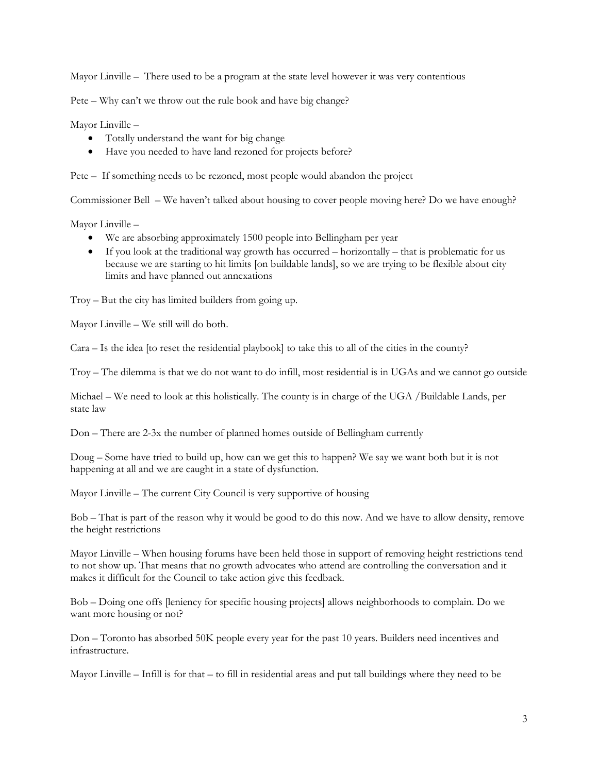Mayor Linville – There used to be a program at the state level however it was very contentious

Pete – Why can't we throw out the rule book and have big change?

Mayor Linville –

- Totally understand the want for big change
- Have you needed to have land rezoned for projects before?

Pete – If something needs to be rezoned, most people would abandon the project

Commissioner Bell – We haven't talked about housing to cover people moving here? Do we have enough?

Mayor Linville –

- We are absorbing approximately 1500 people into Bellingham per year
- $\bullet$  If you look at the traditional way growth has occurred horizontally that is problematic for us because we are starting to hit limits [on buildable lands], so we are trying to be flexible about city limits and have planned out annexations

Troy – But the city has limited builders from going up.

Mayor Linville – We still will do both.

Cara – Is the idea [to reset the residential playbook] to take this to all of the cities in the county?

Troy – The dilemma is that we do not want to do infill, most residential is in UGAs and we cannot go outside

Michael – We need to look at this holistically. The county is in charge of the UGA /Buildable Lands, per state law

Don – There are 2-3x the number of planned homes outside of Bellingham currently

Doug – Some have tried to build up, how can we get this to happen? We say we want both but it is not happening at all and we are caught in a state of dysfunction.

Mayor Linville – The current City Council is very supportive of housing

Bob – That is part of the reason why it would be good to do this now. And we have to allow density, remove the height restrictions

Mayor Linville – When housing forums have been held those in support of removing height restrictions tend to not show up. That means that no growth advocates who attend are controlling the conversation and it makes it difficult for the Council to take action give this feedback.

Bob – Doing one offs [leniency for specific housing projects] allows neighborhoods to complain. Do we want more housing or not?

Don – Toronto has absorbed 50K people every year for the past 10 years. Builders need incentives and infrastructure.

Mayor Linville – Infill is for that – to fill in residential areas and put tall buildings where they need to be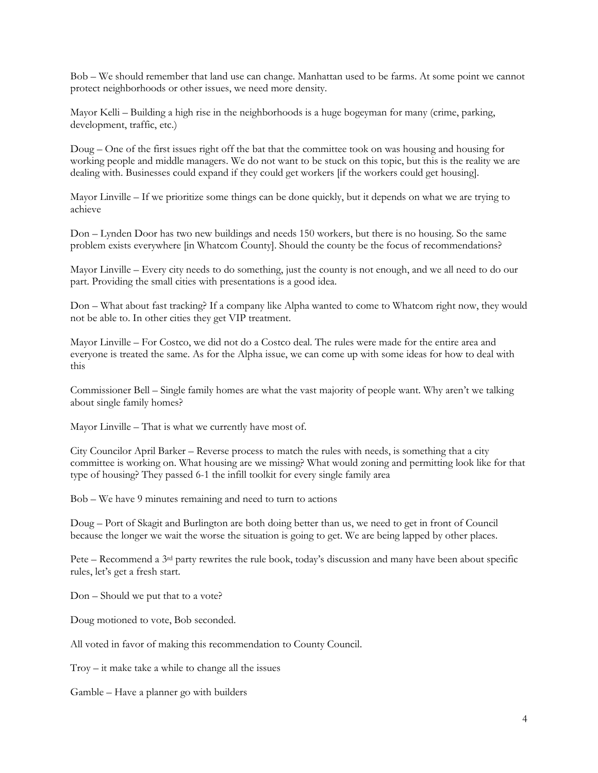Bob – We should remember that land use can change. Manhattan used to be farms. At some point we cannot protect neighborhoods or other issues, we need more density.

Mayor Kelli – Building a high rise in the neighborhoods is a huge bogeyman for many (crime, parking, development, traffic, etc.)

Doug – One of the first issues right off the bat that the committee took on was housing and housing for working people and middle managers. We do not want to be stuck on this topic, but this is the reality we are dealing with. Businesses could expand if they could get workers [if the workers could get housing].

Mayor Linville – If we prioritize some things can be done quickly, but it depends on what we are trying to achieve

Don – Lynden Door has two new buildings and needs 150 workers, but there is no housing. So the same problem exists everywhere [in Whatcom County]. Should the county be the focus of recommendations?

Mayor Linville – Every city needs to do something, just the county is not enough, and we all need to do our part. Providing the small cities with presentations is a good idea.

Don – What about fast tracking? If a company like Alpha wanted to come to Whatcom right now, they would not be able to. In other cities they get VIP treatment.

Mayor Linville – For Costco, we did not do a Costco deal. The rules were made for the entire area and everyone is treated the same. As for the Alpha issue, we can come up with some ideas for how to deal with this

Commissioner Bell – Single family homes are what the vast majority of people want. Why aren't we talking about single family homes?

Mayor Linville – That is what we currently have most of.

City Councilor April Barker – Reverse process to match the rules with needs, is something that a city committee is working on. What housing are we missing? What would zoning and permitting look like for that type of housing? They passed 6-1 the infill toolkit for every single family area

Bob – We have 9 minutes remaining and need to turn to actions

Doug – Port of Skagit and Burlington are both doing better than us, we need to get in front of Council because the longer we wait the worse the situation is going to get. We are being lapped by other places.

Pete – Recommend a  $3<sup>rd</sup>$  party rewrites the rule book, today's discussion and many have been about specific rules, let's get a fresh start.

Don – Should we put that to a vote?

Doug motioned to vote, Bob seconded.

All voted in favor of making this recommendation to County Council.

Troy – it make take a while to change all the issues

Gamble – Have a planner go with builders